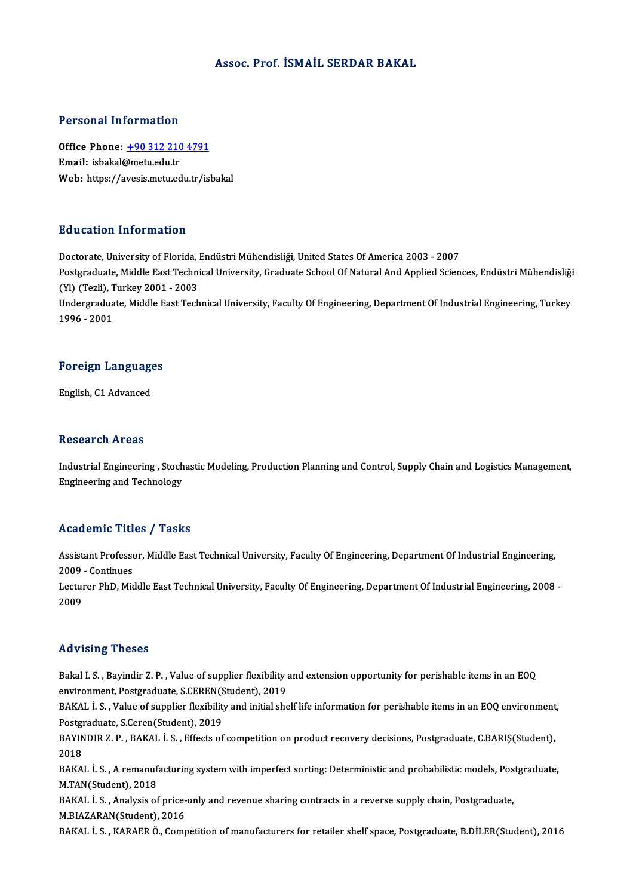### Assoc. Prof. İSMAİL SERDAR BAKAL

### Personal Information

Personal Information<br>Office Phone: <u>+90 312 210 4791</u><br>Email: isbakal@metu.edu.tr Fersonar micromation<br>Office Phone: <u>+90 312 210</u><br>Email: isbakal@metu.edu.tr Email: isbakal@metu.edu.tr<br>Web: https://a[vesis.metu.edu.tr/is](tel:+90 312 210 4791)bakal

### Education Information

Doctorate, University of Florida, Endüstri Mühendisliği, United States Of America 2003 - 2007 Pu u sutrom Thrommution<br>Doctorate, University of Florida, Endüstri Mühendisliği, United States Of America 2003 - 2007<br>Postgraduate, Middle East Technical University, Graduate School Of Natural And Applied Sciences, Endüstr Doctorate, University of Florida, I<br>Postgraduate, Middle East Techni<br>(Yl) (Tezli), Turkey 2001 - 2003<br>Undergraduate Middle Fest Tech Postgraduate, Middle East Technical University, Graduate School Of Natural And Applied Sciences, Endüstri Mühendisliği<br>(Yl) (Tezli), Turkey 2001 - 2003<br>Undergraduate, Middle East Technical University, Faculty Of Engineerin (Yl) (Tezli), Turkey 2001 - 2003<br>Undergraduate, Middle East Technical University, Faculty Of Engineering, Department Of Industrial Engineering, Turkey<br>1996 - 2001

### 1996-2001<br>Foreign Languages F<mark>oreign Languag</mark>e<br>English, C1 Advanced

English, C1 Advanced<br>Research Areas

Research Areas<br>Industrial Engineering , Stochastic Modeling, Production Planning and Control, Supply Chain and Logistics Management,<br>Engineering and Technology resear on 111 eas<br>Industrial Engineering , Stoch<br>Engineering and Technology

## Engineering and Technology<br>Academic Titles / Tasks

Academic Titles / Tasks<br>Assistant Professor, Middle East Technical University, Faculty Of Engineering, Department Of Industrial Engineering,<br>2009 - Continues Assistant Professo<br>2009 - Continues<br>Lecturer PbD, Mic Assistant Professor, Middle East Technical University, Faculty Of Engineering, Department Of Industrial Engineering,<br>2009 - Continues<br>Lecturer PhD, Middle East Technical University, Faculty Of Engineering, Department Of In

2009<br>Lectui<br>2009

## Advising Theses

Bakal I.S., Bayindir Z.P., Value of supplier flexibility and extension opportunity for perishable items in an EOQ environment, Presses<br>Bakal I. S. , Bayindir Z. P. , Value of supplier flexibility ;<br>environment, Postgraduate, S.CEREN(Student), 2019<br>BAKAL L.S., Value of supplier flexibility and initial she

BAKAL İ. S. , Value of supplier flexibility and initial shelf life information for perishable items in an EOQ environment,<br>Postgraduate, S.Ceren(Student), 2019 environment, Postgraduate, S.CEREN(S<br>BAKAL İ. S. , Value of supplier flexibility<br>Postgraduate, S.Ceren(Student), 2019<br>BAYINDIB Z. B. BAKAL İ. S., Effects of BAKAL İ. S. , Value of supplier flexibility and initial shelf life information for perishable items in an EOQ environment<br>Postgraduate, S.Ceren(Student), 2019<br>BAYINDIR Z. P. , BAKAL İ. S. , Effects of competition on produc

Postgi<br>BAYIN<br>2018<br>PAKA BAYINDIR Z. P. , BAKAL İ. S. , Effects of competition on product recovery decisions, Postgraduate, C.BARIŞ(Student),<br>2018<br>BAKAL İ. S. , A remanufacturing system with imperfect sorting: Deterministic and probabilistic model

2018<br>BAKAL İ. S. , A remanuf<br>M.TAN(Student), 2018<br>BAKAL İ. S. Anakyas of BAKAL İ. S. , A remanufacturing system with imperfect sorting: Deterministic and probabilistic models, Pos<br>M.TAN(Student), 2018<br>BAKAL İ. S. , Analysis of price-only and revenue sharing contracts in a reverse supply chain,

M.TAN(Student), 2018<br>BAKAL İ. S. , Analysis of price-only and revenue sharing contracts in a reverse supply chain, Postgraduate,<br>M.BIAZARAN(Student), 2016

BAKAL İ.S., KARAERÖ., Competition of manufacturers for retailer shelf space, Postgraduate, B.DİLER(Student), 2016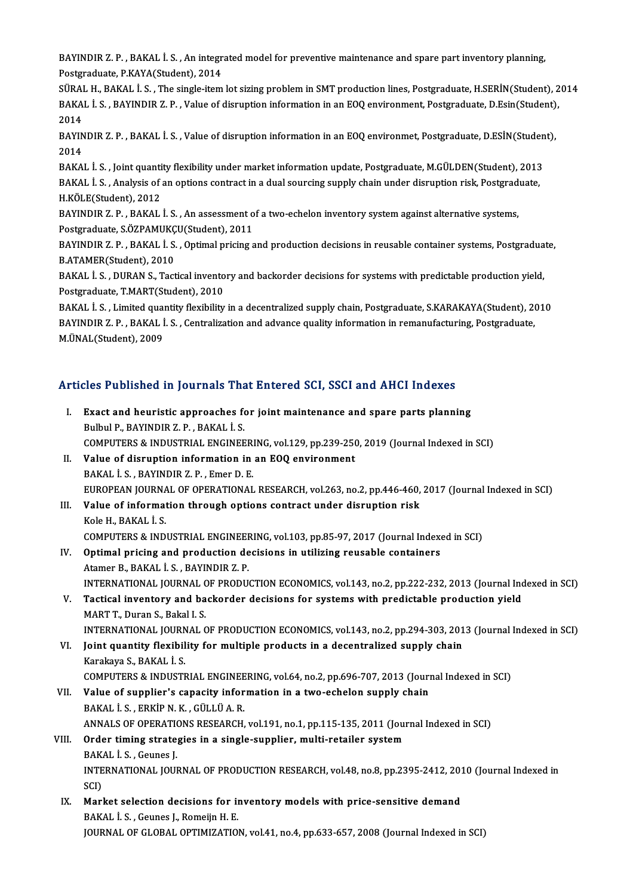BAYINDIR Z. P. , BAKAL İ. S. , An integrated model for preventive maintenance and spare part inventory planning,<br>Pestanaduata B.KAVA(Student), 2014 BAYINDIR Z. P. , BAKAL İ. S. , An integr<br>Postgraduate, P.KAYA(Student), 2014<br>SÜRAL H. BAKAL İ. S. . The single item BAYINDIR Z. P. , BAKAL İ. S. , An integrated model for preventive maintenance and spare part inventory planning,<br>Postgraduate, P.KAYA(Student), 2014<br>SÜRAL H., BAKAL İ. S. , The single-item lot sizing problem in SMT product

Postgraduate, P.KAYA(Student), 2014<br>SÜRAL H., BAKAL İ. S. , The single-item lot sizing problem in SMT production lines, Postgraduate, H.SERİN(Student), 2<br>BAKAL İ. S. , BAYINDIR Z. P. , Value of disruption information in an SÜRAI<br>BAKA<br>2014<br>PAVIN BAKAL İ. S. , BAYINDIR Z. P. , Value of disruption information in an EOQ environment, Postgraduate, D.Esin(Student)<br>2014<br>BAYINDIR Z. P. , BAKAL İ. S. , Value of disruption information in an EOQ environmet, Postgraduate, D.

2014<br>BAYIN<br>2014<br>PAKA BAYINDIR Z. P. , BAKAL İ. S. , Value of disruption information in an EOQ environmet, Postgraduate, D.ESİN(Studen<br>2014<br>BAKAL İ. S. , Joint quantity flexibility under market information update, Postgraduate, M.GÜLDEN(Student

2014<br>BAKAL İ. S. , Joint quantity flexibility under market information update, Postgraduate, M.GÜLDEN(Student), 2013<br>BAKAL İ. S. , Analysis of an options contract in a dual sourcing supply chain under disruption risk, Post BAKAL İ. S. , Joint quanti<br>BAKAL İ. S. , Analysis of<br>H.KÖLE(Student), 2012<br>BAYINDIR Z. B. , BAKAL BAKAL İ. S. , Analysis of an options contract in a dual sourcing supply chain under disruption risk, Postgrad<br>H.KÖLE(Student), 2012<br>BAYINDIR Z. P. , BAKAL İ. S. , An assessment of a two-echelon inventory system against alt

H.KÖLE(Student), 2012<br>BAYINDIR Z. P. , BAKAL İ. S. , An assessment o<br>Postgraduate, S.ÖZPAMUKÇU(Student), 2011<br>BAYINDIR Z. B. BAKAL İ. S., Ontimal prising a BAYINDIR Z. P. , BAKAL İ. S. , An assessment of a two-echelon inventory system against alternative systems,<br>Postgraduate, S.ÖZPAMUKÇU(Student), 2011<br>BAYINDIR Z. P. , BAKAL İ. S. , Optimal pricing and production decisions i

Postgraduate, S.ÖZPAMUKÇU(Student), 2011<br>BAYINDIR Z. P. , BAKAL İ. S. , Optimal pricing and production decisions in reusable container systems, Postgraduate,<br>B.ATAMER(Student), 2010 BAYINDIR Z. P. , BAKAL İ. S. , Optimal pricing and production decisions in reusable container systems, Postgradua<br>B.ATAMER(Student), 2010<br>BAKAL İ. S. , DURAN S., Tactical inventory and backorder decisions for systems with

**B.ATAMER(Student), 2010<br>BAKAL İ. S. , DURAN S., Tactical invento<br>Postgraduate, T.MART(Student), 2010<br>BAKAL İ. S. - Limited quantitu floyibility** BAKAL İ. S. , DURAN S., Tactical inventory and backorder decisions for systems with predictable production yield,<br>Postgraduate, T.MART(Student), 2010<br>BAKAL İ. S. , Limited quantity flexibility in a decentralized supply cha

Postgraduate, T.MART(Student), 2010<br>BAKAL İ. S. , Limited quantity flexibility in a decentralized supply chain, Postgraduate, S.KARAKAYA(Student), 2<br>BAYINDIR Z. P. , BAKAL İ. S. , Centralization and advance quality informa BAKAL İ. S. , Limited quaı<br>BAYINDIR Z. P. , BAKAL İ<br>M.ÜNAL(Student), 2009

# M.ONAL(Student), 2009<br>Articles Published in Journals That Entered SCI, SSCI and AHCI Indexes

| Articles Published in Journals That Entered SCI, SSCI and AHCI Indexes |                                                                                                                         |
|------------------------------------------------------------------------|-------------------------------------------------------------------------------------------------------------------------|
| $\mathbf{I}$                                                           | Exact and heuristic approaches for joint maintenance and spare parts planning<br>Bulbul P., BAYINDIR Z. P., BAKAL İ. S. |
|                                                                        | COMPUTERS & INDUSTRIAL ENGINEERING, vol.129, pp.239-250, 2019 (Journal Indexed in SCI)                                  |
| П.                                                                     | Value of disruption information in an EOQ environment                                                                   |
|                                                                        | BAKAL İ S , BAYINDIR Z P , Emer D E                                                                                     |
|                                                                        | EUROPEAN JOURNAL OF OPERATIONAL RESEARCH, vol.263, no.2, pp.446-460, 2017 (Journal Indexed in SCI)                      |
| III.                                                                   | Value of information through options contract under disruption risk                                                     |
|                                                                        | Kole H., BAKAL I. S.                                                                                                    |
|                                                                        | COMPUTERS & INDUSTRIAL ENGINEERING, vol.103, pp.85-97, 2017 (Journal Indexed in SCI)                                    |
| IV.                                                                    | Optimal pricing and production decisions in utilizing reusable containers                                               |
|                                                                        | Atamer B., BAKAL İ. S., BAYINDIR Z. P.                                                                                  |
|                                                                        | INTERNATIONAL JOURNAL OF PRODUCTION ECONOMICS, vol.143, no.2, pp.222-232, 2013 (Journal Indexed in SCI)                 |
| V.                                                                     | Tactical inventory and backorder decisions for systems with predictable production yield                                |
|                                                                        | MART T., Duran S., Bakal I. S.                                                                                          |
|                                                                        | INTERNATIONAL JOURNAL OF PRODUCTION ECONOMICS, vol.143, no.2, pp.294-303, 2013 (Journal Indexed in SCI)                 |
| VI.                                                                    | Joint quantity flexibility for multiple products in a decentralized supply chain                                        |
|                                                                        | Karakaya S., BAKAL İ. S.                                                                                                |
|                                                                        | COMPUTERS & INDUSTRIAL ENGINEERING, vol.64, no.2, pp.696-707, 2013 (Journal Indexed in SCI)                             |
| VII.                                                                   | Value of supplier's capacity information in a two-echelon supply chain                                                  |
|                                                                        | BAKAL İS, ERKİP N K, GÜLLÜ A R.                                                                                         |
|                                                                        | ANNALS OF OPERATIONS RESEARCH, vol.191, no.1, pp.115-135, 2011 (Journal Indexed in SCI)                                 |
| VIII.                                                                  | Order timing strategies in a single-supplier, multi-retailer system                                                     |
|                                                                        | BAKAL I S , Geunes J                                                                                                    |
|                                                                        | INTERNATIONAL JOURNAL OF PRODUCTION RESEARCH, vol.48, no.8, pp.2395-2412, 2010 (Journal Indexed in                      |
|                                                                        | SCI)                                                                                                                    |
| IX.                                                                    | Market selection decisions for inventory models with price-sensitive demand                                             |
|                                                                        | BAKAL İ. S., Geunes J., Romeijn H. E.                                                                                   |
|                                                                        | JOURNAL OF GLOBAL OPTIMIZATION, vol.41, no.4, pp.633-657, 2008 (Journal Indexed in SCI)                                 |
|                                                                        |                                                                                                                         |